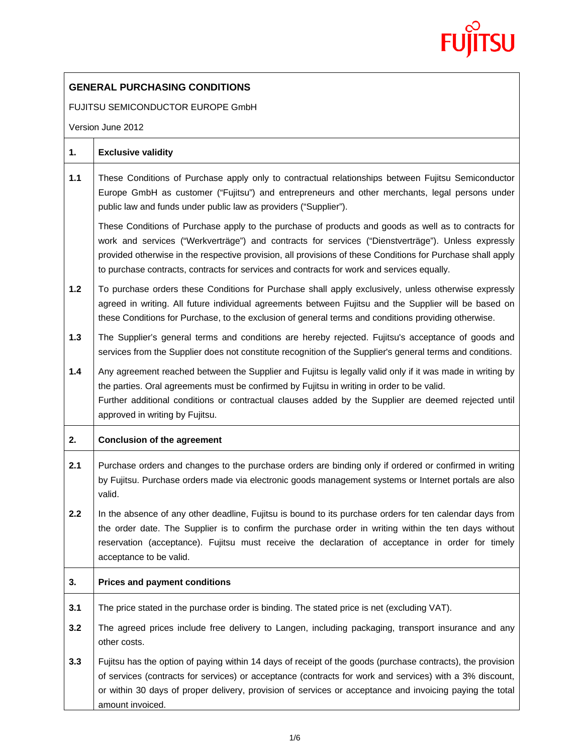

## **GENERAL PURCHASING CONDITIONS**

FUJITSU SEMICONDUCTOR EUROPE GmbH

Version June 2012

| 1.    | <b>Exclusive validity</b>                                                                                                                                                                                                                                                                                                                                                                                               |
|-------|-------------------------------------------------------------------------------------------------------------------------------------------------------------------------------------------------------------------------------------------------------------------------------------------------------------------------------------------------------------------------------------------------------------------------|
| 1.1   | These Conditions of Purchase apply only to contractual relationships between Fujitsu Semiconductor<br>Europe GmbH as customer ("Fujitsu") and entrepreneurs and other merchants, legal persons under<br>public law and funds under public law as providers ("Supplier").                                                                                                                                                |
|       | These Conditions of Purchase apply to the purchase of products and goods as well as to contracts for<br>work and services ("Werkverträge") and contracts for services ("Dienstverträge"). Unless expressly<br>provided otherwise in the respective provision, all provisions of these Conditions for Purchase shall apply<br>to purchase contracts, contracts for services and contracts for work and services equally. |
| $1.2$ | To purchase orders these Conditions for Purchase shall apply exclusively, unless otherwise expressly<br>agreed in writing. All future individual agreements between Fujitsu and the Supplier will be based on<br>these Conditions for Purchase, to the exclusion of general terms and conditions providing otherwise.                                                                                                   |
| $1.3$ | The Supplier's general terms and conditions are hereby rejected. Fujitsu's acceptance of goods and<br>services from the Supplier does not constitute recognition of the Supplier's general terms and conditions.                                                                                                                                                                                                        |
| 1.4   | Any agreement reached between the Supplier and Fujitsu is legally valid only if it was made in writing by<br>the parties. Oral agreements must be confirmed by Fujitsu in writing in order to be valid.<br>Further additional conditions or contractual clauses added by the Supplier are deemed rejected until<br>approved in writing by Fujitsu.                                                                      |
| 2.    | <b>Conclusion of the agreement</b>                                                                                                                                                                                                                                                                                                                                                                                      |
| 2.1   | Purchase orders and changes to the purchase orders are binding only if ordered or confirmed in writing<br>by Fujitsu. Purchase orders made via electronic goods management systems or Internet portals are also<br>valid.                                                                                                                                                                                               |
| 2.2   | In the absence of any other deadline, Fujitsu is bound to its purchase orders for ten calendar days from<br>the order date. The Supplier is to confirm the purchase order in writing within the ten days without<br>reservation (acceptance). Fujitsu must receive the declaration of acceptance in order for timely<br>acceptance to be valid.                                                                         |
| 3.    | <b>Prices and payment conditions</b>                                                                                                                                                                                                                                                                                                                                                                                    |
| 3.1   | The price stated in the purchase order is binding. The stated price is net (excluding VAT).                                                                                                                                                                                                                                                                                                                             |
| 3.2   | The agreed prices include free delivery to Langen, including packaging, transport insurance and any<br>other costs.                                                                                                                                                                                                                                                                                                     |
| 3.3   | Fujitsu has the option of paying within 14 days of receipt of the goods (purchase contracts), the provision<br>of services (contracts for services) or acceptance (contracts for work and services) with a 3% discount,<br>or within 30 days of proper delivery, provision of services or acceptance and invoicing paying the total<br>amount invoiced.                                                                 |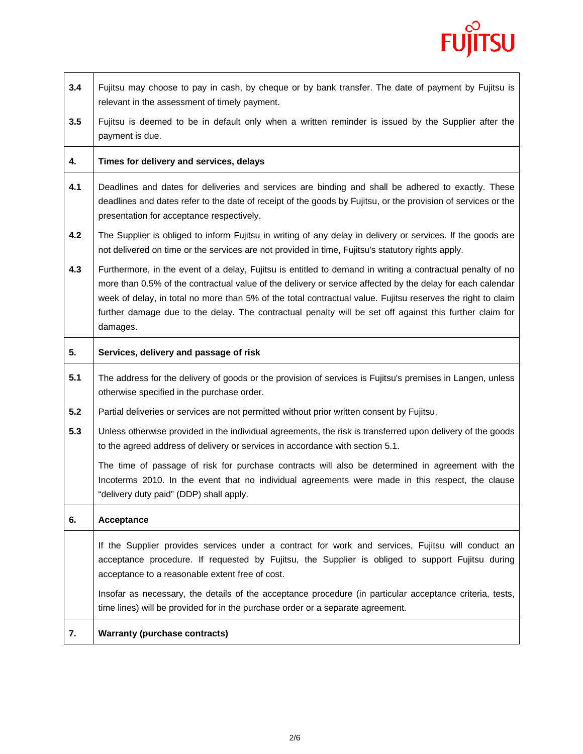

| 3.4 | Fujitsu may choose to pay in cash, by cheque or by bank transfer. The date of payment by Fujitsu is<br>relevant in the assessment of timely payment.                                                                                                                                                                                                                                                                                                           |
|-----|----------------------------------------------------------------------------------------------------------------------------------------------------------------------------------------------------------------------------------------------------------------------------------------------------------------------------------------------------------------------------------------------------------------------------------------------------------------|
| 3.5 | Fujitsu is deemed to be in default only when a written reminder is issued by the Supplier after the<br>payment is due.                                                                                                                                                                                                                                                                                                                                         |
| 4.  | Times for delivery and services, delays                                                                                                                                                                                                                                                                                                                                                                                                                        |
| 4.1 | Deadlines and dates for deliveries and services are binding and shall be adhered to exactly. These<br>deadlines and dates refer to the date of receipt of the goods by Fujitsu, or the provision of services or the<br>presentation for acceptance respectively.                                                                                                                                                                                               |
| 4.2 | The Supplier is obliged to inform Fujitsu in writing of any delay in delivery or services. If the goods are<br>not delivered on time or the services are not provided in time, Fujitsu's statutory rights apply.                                                                                                                                                                                                                                               |
| 4.3 | Furthermore, in the event of a delay, Fujitsu is entitled to demand in writing a contractual penalty of no<br>more than 0.5% of the contractual value of the delivery or service affected by the delay for each calendar<br>week of delay, in total no more than 5% of the total contractual value. Fujitsu reserves the right to claim<br>further damage due to the delay. The contractual penalty will be set off against this further claim for<br>damages. |
| 5.  | Services, delivery and passage of risk                                                                                                                                                                                                                                                                                                                                                                                                                         |
| 5.1 | The address for the delivery of goods or the provision of services is Fujitsu's premises in Langen, unless<br>otherwise specified in the purchase order.                                                                                                                                                                                                                                                                                                       |
| 5.2 | Partial deliveries or services are not permitted without prior written consent by Fujitsu.                                                                                                                                                                                                                                                                                                                                                                     |
| 5.3 | Unless otherwise provided in the individual agreements, the risk is transferred upon delivery of the goods<br>to the agreed address of delivery or services in accordance with section 5.1.                                                                                                                                                                                                                                                                    |
|     | The time of passage of risk for purchase contracts will also be determined in agreement with the<br>Incoterms 2010. In the event that no individual agreements were made in this respect, the clause<br>"delivery duty paid" (DDP) shall apply.                                                                                                                                                                                                                |
| 6.  | Acceptance                                                                                                                                                                                                                                                                                                                                                                                                                                                     |
|     | If the Supplier provides services under a contract for work and services, Fujitsu will conduct an<br>acceptance procedure. If requested by Fujitsu, the Supplier is obliged to support Fujitsu during<br>acceptance to a reasonable extent free of cost.                                                                                                                                                                                                       |
|     | Insofar as necessary, the details of the acceptance procedure (in particular acceptance criteria, tests,<br>time lines) will be provided for in the purchase order or a separate agreement.                                                                                                                                                                                                                                                                    |
| 7.  | <b>Warranty (purchase contracts)</b>                                                                                                                                                                                                                                                                                                                                                                                                                           |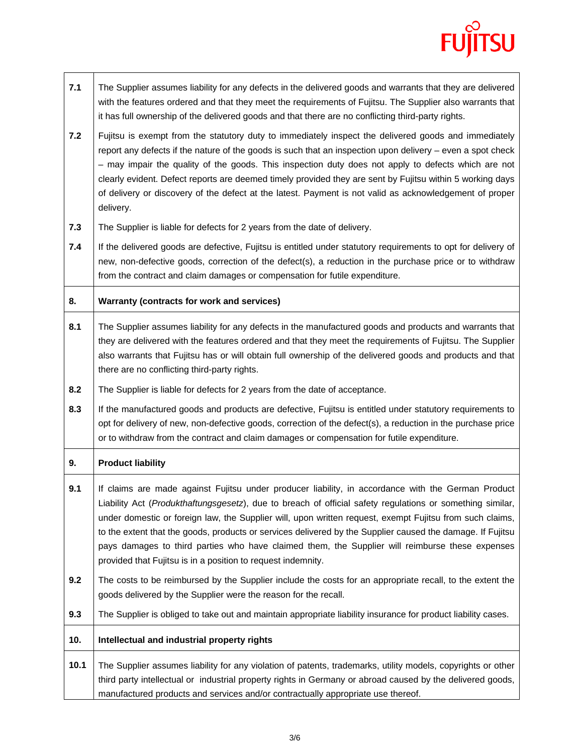## **FUJITSU**

٦

| 7.1  | The Supplier assumes liability for any defects in the delivered goods and warrants that they are delivered<br>with the features ordered and that they meet the requirements of Fujitsu. The Supplier also warrants that<br>it has full ownership of the delivered goods and that there are no conflicting third-party rights.                                                                                                                                                                                                                                                                                |
|------|--------------------------------------------------------------------------------------------------------------------------------------------------------------------------------------------------------------------------------------------------------------------------------------------------------------------------------------------------------------------------------------------------------------------------------------------------------------------------------------------------------------------------------------------------------------------------------------------------------------|
| 7.2  | Fujitsu is exempt from the statutory duty to immediately inspect the delivered goods and immediately<br>report any defects if the nature of the goods is such that an inspection upon delivery – even a spot check<br>- may impair the quality of the goods. This inspection duty does not apply to defects which are not<br>clearly evident. Defect reports are deemed timely provided they are sent by Fujitsu within 5 working days<br>of delivery or discovery of the defect at the latest. Payment is not valid as acknowledgement of proper<br>delivery.                                               |
| 7.3  | The Supplier is liable for defects for 2 years from the date of delivery.                                                                                                                                                                                                                                                                                                                                                                                                                                                                                                                                    |
| 7.4  | If the delivered goods are defective, Fujitsu is entitled under statutory requirements to opt for delivery of<br>new, non-defective goods, correction of the defect(s), a reduction in the purchase price or to withdraw<br>from the contract and claim damages or compensation for futile expenditure.                                                                                                                                                                                                                                                                                                      |
| 8.   | Warranty (contracts for work and services)                                                                                                                                                                                                                                                                                                                                                                                                                                                                                                                                                                   |
| 8.1  | The Supplier assumes liability for any defects in the manufactured goods and products and warrants that<br>they are delivered with the features ordered and that they meet the requirements of Fujitsu. The Supplier<br>also warrants that Fujitsu has or will obtain full ownership of the delivered goods and products and that<br>there are no conflicting third-party rights.                                                                                                                                                                                                                            |
| 8.2  | The Supplier is liable for defects for 2 years from the date of acceptance.                                                                                                                                                                                                                                                                                                                                                                                                                                                                                                                                  |
| 8.3  | If the manufactured goods and products are defective, Fujitsu is entitled under statutory requirements to<br>opt for delivery of new, non-defective goods, correction of the defect(s), a reduction in the purchase price<br>or to withdraw from the contract and claim damages or compensation for futile expenditure.                                                                                                                                                                                                                                                                                      |
| 9.   | <b>Product liability</b>                                                                                                                                                                                                                                                                                                                                                                                                                                                                                                                                                                                     |
| 9.1  | If claims are made against Fujitsu under producer liability, in accordance with the German Product<br>Liability Act (Produkthaftungsgesetz), due to breach of official safety regulations or something similar,<br>under domestic or foreign law, the Supplier will, upon written request, exempt Fujitsu from such claims,<br>to the extent that the goods, products or services delivered by the Supplier caused the damage. If Fujitsu<br>pays damages to third parties who have claimed them, the Supplier will reimburse these expenses<br>provided that Fujitsu is in a position to request indemnity. |
| 9.2  | The costs to be reimbursed by the Supplier include the costs for an appropriate recall, to the extent the<br>goods delivered by the Supplier were the reason for the recall.                                                                                                                                                                                                                                                                                                                                                                                                                                 |
| 9.3  | The Supplier is obliged to take out and maintain appropriate liability insurance for product liability cases.                                                                                                                                                                                                                                                                                                                                                                                                                                                                                                |
| 10.  | Intellectual and industrial property rights                                                                                                                                                                                                                                                                                                                                                                                                                                                                                                                                                                  |
| 10.1 | The Supplier assumes liability for any violation of patents, trademarks, utility models, copyrights or other<br>third party intellectual or industrial property rights in Germany or abroad caused by the delivered goods,<br>manufactured products and services and/or contractually appropriate use thereof.                                                                                                                                                                                                                                                                                               |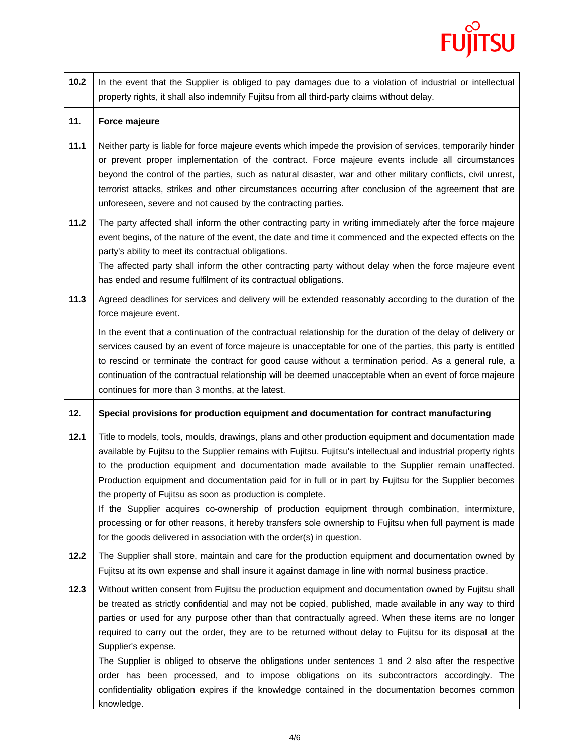

| 10.2 | In the event that the Supplier is obliged to pay damages due to a violation of industrial or intellectual<br>property rights, it shall also indemnify Fujitsu from all third-party claims without delay.                                                                                                                                                                                                                                                                                                                                                                                                                                                                                                                                                                                      |
|------|-----------------------------------------------------------------------------------------------------------------------------------------------------------------------------------------------------------------------------------------------------------------------------------------------------------------------------------------------------------------------------------------------------------------------------------------------------------------------------------------------------------------------------------------------------------------------------------------------------------------------------------------------------------------------------------------------------------------------------------------------------------------------------------------------|
| 11.  | Force majeure                                                                                                                                                                                                                                                                                                                                                                                                                                                                                                                                                                                                                                                                                                                                                                                 |
| 11.1 | Neither party is liable for force majeure events which impede the provision of services, temporarily hinder<br>or prevent proper implementation of the contract. Force majeure events include all circumstances<br>beyond the control of the parties, such as natural disaster, war and other military conflicts, civil unrest,<br>terrorist attacks, strikes and other circumstances occurring after conclusion of the agreement that are<br>unforeseen, severe and not caused by the contracting parties.                                                                                                                                                                                                                                                                                   |
| 11.2 | The party affected shall inform the other contracting party in writing immediately after the force majeure<br>event begins, of the nature of the event, the date and time it commenced and the expected effects on the<br>party's ability to meet its contractual obligations.<br>The affected party shall inform the other contracting party without delay when the force majeure event<br>has ended and resume fulfilment of its contractual obligations.                                                                                                                                                                                                                                                                                                                                   |
| 11.3 | Agreed deadlines for services and delivery will be extended reasonably according to the duration of the<br>force majeure event.                                                                                                                                                                                                                                                                                                                                                                                                                                                                                                                                                                                                                                                               |
|      | In the event that a continuation of the contractual relationship for the duration of the delay of delivery or<br>services caused by an event of force majeure is unacceptable for one of the parties, this party is entitled<br>to rescind or terminate the contract for good cause without a termination period. As a general rule, a<br>continuation of the contractual relationship will be deemed unacceptable when an event of force majeure<br>continues for more than 3 months, at the latest.                                                                                                                                                                                                                                                                                         |
| 12.  | Special provisions for production equipment and documentation for contract manufacturing                                                                                                                                                                                                                                                                                                                                                                                                                                                                                                                                                                                                                                                                                                      |
| 12.1 | Title to models, tools, moulds, drawings, plans and other production equipment and documentation made<br>available by Fujitsu to the Supplier remains with Fujitsu. Fujitsu's intellectual and industrial property rights<br>to the production equipment and documentation made available to the Supplier remain unaffected.<br>Production equipment and documentation paid for in full or in part by Fujitsu for the Supplier becomes<br>the property of Fujitsu as soon as production is complete.<br>If the Supplier acquires co-ownership of production equipment through combination, intermixture,<br>processing or for other reasons, it hereby transfers sole ownership to Fujitsu when full payment is made<br>for the goods delivered in association with the order(s) in question. |
| 12.2 | The Supplier shall store, maintain and care for the production equipment and documentation owned by<br>Fujitsu at its own expense and shall insure it against damage in line with normal business practice.                                                                                                                                                                                                                                                                                                                                                                                                                                                                                                                                                                                   |
| 12.3 | Without written consent from Fujitsu the production equipment and documentation owned by Fujitsu shall<br>be treated as strictly confidential and may not be copied, published, made available in any way to third<br>parties or used for any purpose other than that contractually agreed. When these items are no longer<br>required to carry out the order, they are to be returned without delay to Fujitsu for its disposal at the<br>Supplier's expense.<br>The Supplier is obliged to observe the obligations under sentences 1 and 2 also after the respective<br>order has been processed, and to impose obligations on its subcontractors accordingly. The<br>confidentiality obligation expires if the knowledge contained in the documentation becomes common                     |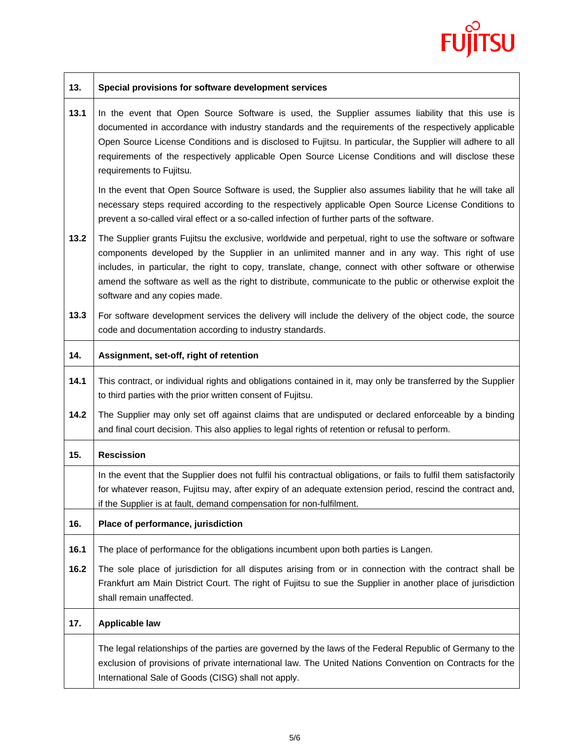

| 13.  | Special provisions for software development services                                                                                                                                                                                                                                                                                                                                                                                                                |
|------|---------------------------------------------------------------------------------------------------------------------------------------------------------------------------------------------------------------------------------------------------------------------------------------------------------------------------------------------------------------------------------------------------------------------------------------------------------------------|
| 13.1 | In the event that Open Source Software is used, the Supplier assumes liability that this use is<br>documented in accordance with industry standards and the requirements of the respectively applicable<br>Open Source License Conditions and is disclosed to Fujitsu. In particular, the Supplier will adhere to all<br>requirements of the respectively applicable Open Source License Conditions and will disclose these<br>requirements to Fujitsu.             |
|      | In the event that Open Source Software is used, the Supplier also assumes liability that he will take all<br>necessary steps required according to the respectively applicable Open Source License Conditions to<br>prevent a so-called viral effect or a so-called infection of further parts of the software.                                                                                                                                                     |
| 13.2 | The Supplier grants Fujitsu the exclusive, worldwide and perpetual, right to use the software or software<br>components developed by the Supplier in an unlimited manner and in any way. This right of use<br>includes, in particular, the right to copy, translate, change, connect with other software or otherwise<br>amend the software as well as the right to distribute, communicate to the public or otherwise exploit the<br>software and any copies made. |
| 13.3 | For software development services the delivery will include the delivery of the object code, the source<br>code and documentation according to industry standards.                                                                                                                                                                                                                                                                                                  |
| 14.  | Assignment, set-off, right of retention                                                                                                                                                                                                                                                                                                                                                                                                                             |
| 14.1 | This contract, or individual rights and obligations contained in it, may only be transferred by the Supplier<br>to third parties with the prior written consent of Fujitsu.                                                                                                                                                                                                                                                                                         |
| 14.2 | The Supplier may only set off against claims that are undisputed or declared enforceable by a binding<br>and final court decision. This also applies to legal rights of retention or refusal to perform.                                                                                                                                                                                                                                                            |
| 15.  | <b>Rescission</b>                                                                                                                                                                                                                                                                                                                                                                                                                                                   |
|      | In the event that the Supplier does not fulfil his contractual obligations, or fails to fulfil them satisfactorily<br>for whatever reason, Fujitsu may, after expiry of an adequate extension period, rescind the contract and,<br>if the Supplier is at fault, demand compensation for non-fulfilment.                                                                                                                                                             |
| 16.  | Place of performance, jurisdiction                                                                                                                                                                                                                                                                                                                                                                                                                                  |
| 16.1 | The place of performance for the obligations incumbent upon both parties is Langen.                                                                                                                                                                                                                                                                                                                                                                                 |
| 16.2 | The sole place of jurisdiction for all disputes arising from or in connection with the contract shall be<br>Frankfurt am Main District Court. The right of Fujitsu to sue the Supplier in another place of jurisdiction<br>shall remain unaffected.                                                                                                                                                                                                                 |
| 17.  | <b>Applicable law</b>                                                                                                                                                                                                                                                                                                                                                                                                                                               |
|      | The legal relationships of the parties are governed by the laws of the Federal Republic of Germany to the<br>exclusion of provisions of private international law. The United Nations Convention on Contracts for the<br>International Sale of Goods (CISG) shall not apply.                                                                                                                                                                                        |